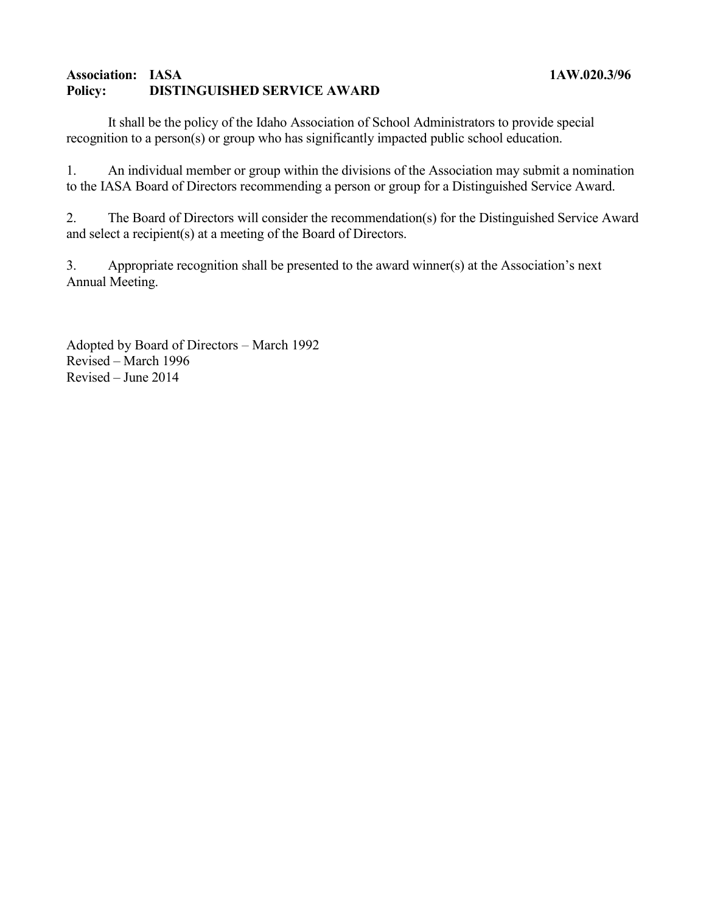## **Association: IASA 1AW.020.3/96 Policy: DISTINGUISHED SERVICE AWARD**

It shall be the policy of the Idaho Association of School Administrators to provide special recognition to a person(s) or group who has significantly impacted public school education.

1. An individual member or group within the divisions of the Association may submit a nomination to the IASA Board of Directors recommending a person or group for a Distinguished Service Award.

2. The Board of Directors will consider the recommendation(s) for the Distinguished Service Award and select a recipient(s) at a meeting of the Board of Directors.

3. Appropriate recognition shall be presented to the award winner(s) at the Association's next Annual Meeting.

Adopted by Board of Directors – March 1992 Revised – March 1996 Revised – June 2014